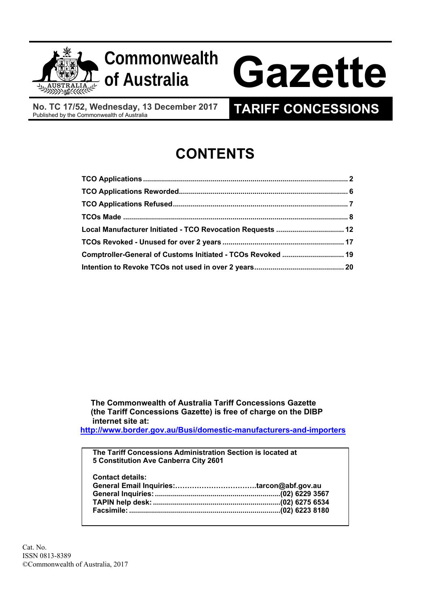



# **of Australia Gazette**

**No. TC 17/52, Wednesday, 13 December 2017** 

### **TARIFF CONCESSIONS**

## **CONTENTS**

| Local Manufacturer Initiated - TCO Revocation Requests  12  |  |
|-------------------------------------------------------------|--|
|                                                             |  |
| Comptroller-General of Customs Initiated - TCOs Revoked  19 |  |
|                                                             |  |

 **The Commonwealth of Australia Tariff Concessions Gazette (the Tariff Concessions Gazette) is free of charge on the DIBP internet site at:** 

**http://www.border.gov.au/Busi/domestic-manufacturers-and-importers**

**The Tariff Concessions Administration Section is located at 5 Constitution Ave Canberra City 2601** 

Cat. No. ISSN 0813-8389 ©Commonwealth of Australia, 2017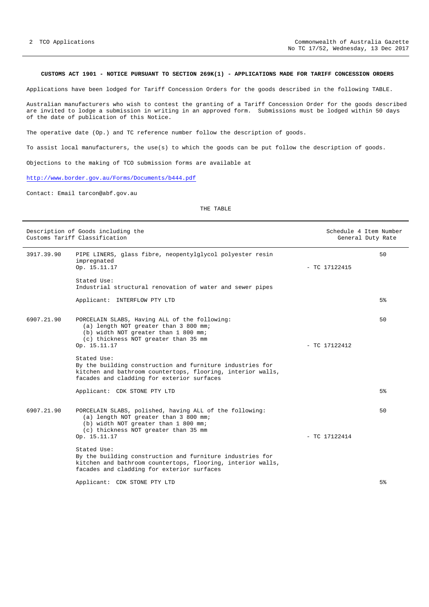#### **CUSTOMS ACT 1901 - NOTICE PURSUANT TO SECTION 269K(1) - APPLICATIONS MADE FOR TARIFF CONCESSION ORDERS**

Applications have been lodged for Tariff Concession Orders for the goods described in the following TABLE.

Australian manufacturers who wish to contest the granting of a Tariff Concession Order for the goods described are invited to lodge a submission in writing in an approved form. Submissions must be lodged within 50 days of the date of publication of this Notice.

The operative date (Op.) and TC reference number follow the description of goods.

To assist local manufacturers, the use(s) to which the goods can be put follow the description of goods.

Objections to the making of TCO submission forms are available at

http://www.border.gov.au/Forms/Documents/b444.pdf

Contact: Email tarcon@abf.gov.au

THE TABLE

|            | Description of Goods including the<br>Customs Tariff Classification                                                                                                                              | Schedule 4 Item Number<br>General Duty Rate |    |
|------------|--------------------------------------------------------------------------------------------------------------------------------------------------------------------------------------------------|---------------------------------------------|----|
| 3917.39.90 | PIPE LINERS, glass fibre, neopentylglycol polyester resin<br>impregnated<br>Op. 15.11.17                                                                                                         | $-$ TC 17122415                             | 50 |
|            | Stated Use:<br>Industrial structural renovation of water and sewer pipes                                                                                                                         |                                             |    |
|            | Applicant: INTERFLOW PTY LTD                                                                                                                                                                     |                                             | 5% |
| 6907.21.90 | PORCELAIN SLABS, Having ALL of the following:<br>(a) length NOT greater than 3 800 mm;<br>(b) width NOT greater than 1 800 mm;<br>(c) thickness NOT greater than 35 mm<br>Op. 15.11.17           | $-$ TC 17122412                             | 50 |
|            | Stated Use:<br>By the building construction and furniture industries for<br>kitchen and bathroom countertops, flooring, interior walls,<br>facades and cladding for exterior surfaces            |                                             |    |
|            | Applicant: CDK STONE PTY LTD                                                                                                                                                                     |                                             | 5% |
| 6907.21.90 | PORCELAIN SLABS, polished, having ALL of the following:<br>(a) length NOT greater than 3 800 mm;<br>(b) width NOT greater than 1 800 mm;<br>(c) thickness NOT greater than 35 mm<br>Op. 15.11.17 | $-$ TC 17122414                             | 50 |
|            | Stated Use:<br>By the building construction and furniture industries for<br>kitchen and bathroom countertops, flooring, interior walls,<br>facades and cladding for exterior surfaces            |                                             |    |
|            | Applicant: CDK STONE PTY LTD                                                                                                                                                                     |                                             | 5% |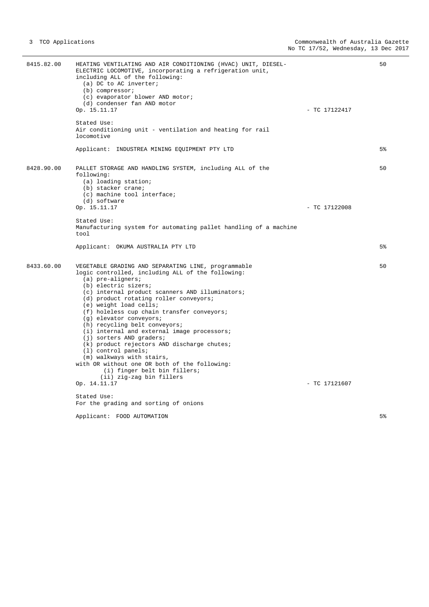| 8415.82.00 | HEATING VENTILATING AND AIR CONDITIONING (HVAC) UNIT, DIESEL-<br>ELECTRIC LOCOMOTIVE, incorporating a refrigeration unit,<br>including ALL of the following:<br>(a) DC to AC inverter;<br>$(b)$ compressor;<br>(c) evaporator blower AND motor;<br>(d) condenser fan AND motor<br>Op. 15.11.17                                                                                                                                                                                                                                                                                                                                                                                                                       | $-$ TC 17122417 | 50             |
|------------|----------------------------------------------------------------------------------------------------------------------------------------------------------------------------------------------------------------------------------------------------------------------------------------------------------------------------------------------------------------------------------------------------------------------------------------------------------------------------------------------------------------------------------------------------------------------------------------------------------------------------------------------------------------------------------------------------------------------|-----------------|----------------|
|            | Stated Use:<br>Air conditioning unit - ventilation and heating for rail<br>locomotive                                                                                                                                                                                                                                                                                                                                                                                                                                                                                                                                                                                                                                |                 |                |
|            | Applicant: INDUSTREA MINING EQUIPMENT PTY LTD                                                                                                                                                                                                                                                                                                                                                                                                                                                                                                                                                                                                                                                                        |                 | 5 <sup>8</sup> |
| 8428.90.00 | PALLET STORAGE AND HANDLING SYSTEM, including ALL of the<br>following:<br>(a) loading station;<br>(b) stacker crane;<br>(c) machine tool interface;<br>(d) software                                                                                                                                                                                                                                                                                                                                                                                                                                                                                                                                                  |                 | 50             |
|            | Op. 15.11.17                                                                                                                                                                                                                                                                                                                                                                                                                                                                                                                                                                                                                                                                                                         | $-$ TC 17122008 |                |
|            | Stated Use:<br>Manufacturing system for automating pallet handling of a machine<br>tool                                                                                                                                                                                                                                                                                                                                                                                                                                                                                                                                                                                                                              |                 |                |
|            | Applicant: OKUMA AUSTRALIA PTY LTD                                                                                                                                                                                                                                                                                                                                                                                                                                                                                                                                                                                                                                                                                   |                 | 5 <sup>°</sup> |
| 8433.60.00 | VEGETABLE GRADING AND SEPARATING LINE, programmable<br>logic controlled, including ALL of the following:<br>$(a)$ pre-aligners;<br>(b) electric sizers;<br>(c) internal product scanners AND illuminators;<br>(d) product rotating roller conveyors;<br>(e) weight load cells;<br>(f) holeless cup chain transfer conveyors;<br>(g) elevator conveyors;<br>(h) recycling belt conveyors;<br>(i) internal and external image processors;<br>(j) sorters AND graders;<br>(k) product rejectors AND discharge chutes;<br>$(1)$ control panels;<br>(m) walkways with stairs,<br>with OR without one OR both of the following:<br>(i) finger belt bin fillers;<br>(ii) zig-zag bin fillers<br>Op. 14.11.17<br>Stated Use: | $-$ TC 17121607 | 50             |
|            | For the grading and sorting of onions                                                                                                                                                                                                                                                                                                                                                                                                                                                                                                                                                                                                                                                                                |                 |                |
|            | Applicant: FOOD AUTOMATION                                                                                                                                                                                                                                                                                                                                                                                                                                                                                                                                                                                                                                                                                           |                 | 5 <sup>°</sup> |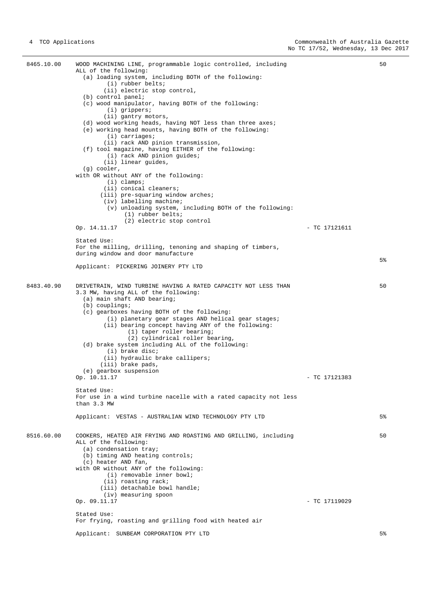8465.10.00 WOOD MACHINING LINE, programmable logic controlled, including ALL of the following: (a) loading system, including BOTH of the following: (i) rubber belts; (ii) electric stop control, (b) control panel; (c) wood manipulator, having BOTH of the following: (i) grippers; (ii) gantry motors, (d) wood working heads, having NOT less than three axes; (e) working head mounts, having BOTH of the following: (i) carriages; (ii) rack AND pinion transmission, (f) tool magazine, having EITHER of the following: (i) rack AND pinion guides; (ii) linear guides, (g) cooler, with OR without ANY of the following: (i) clamps; (ii) conical cleaners; (iii) pre-squaring window arches; (iv) labelling machine; (v) unloading system, including BOTH of the following: (1) rubber belts; (2) electric stop control Op. 14.11.17 - TC 17121611 Stated Use: For the milling, drilling, tenoning and shaping of timbers, during window and door manufacture Applicant: PICKERING JOINERY PTY LTD  $50$ 5% 8483.40.90 DRIVETRAIN, WIND TURBINE HAVING A RATED CAPACITY NOT LESS THAN 3.3 MW, having ALL of the following: (a) main shaft AND bearing; (b) couplings; (c) gearboxes having BOTH of the following: (i) planetary gear stages AND helical gear stages; (ii) bearing concept having ANY of the following: (1) taper roller bearing; (2) cylindrical roller bearing, (d) brake system including ALL of the following: (i) brake disc; (ii) hydraulic brake callipers; (iii) brake pads, (e) gearbox suspension Op. 10.11.17 - TC 17121383 Stated Use: For use in a wind turbine nacelle with a rated capacity not less than 3.3 MW Applicant: VESTAS - AUSTRALIAN WIND TECHNOLOGY PTY LTD 50 5% 8516.60.00 COOKERS, HEATED AIR FRYING AND ROASTING AND GRILLING, including ALL of the following: (a) condensation tray; (b) timing AND heating controls; (c) heater AND fan, with OR without ANY of the following: (i) removable inner bowl; (ii) roasting rack; (iii) detachable bowl handle;  $(iv)$  measuring spoon<br>Op. 09.11.17  $-$  TC 17119029 Stated Use: For frying, roasting and grilling food with heated air Applicant: SUNBEAM CORPORATION PTY LTD 50 5%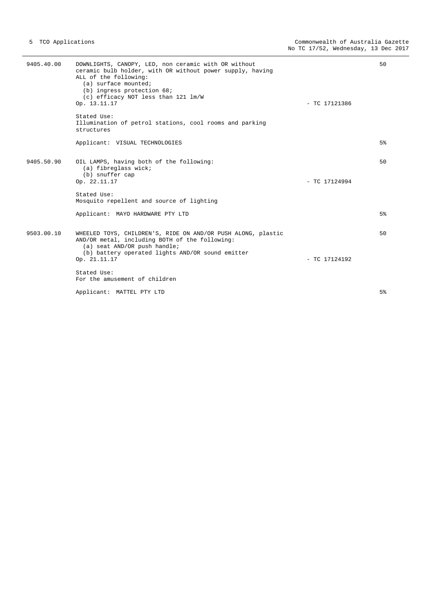| 9405.40.00 | DOWNLIGHTS, CANOPY, LED, non ceramic with OR without<br>ceramic bulb holder, with OR without power supply, having<br>ALL of the following:<br>(a) surface mounted;<br>$(b)$ ingress protection $68$ ;<br>(c) efficacy NOT less than 121 lm/W<br>Op. 13.11.17<br>Stated Use:<br>Illumination of petrol stations, cool rooms and parking<br>structures | 50<br>$-$ TC 17121386 |
|------------|------------------------------------------------------------------------------------------------------------------------------------------------------------------------------------------------------------------------------------------------------------------------------------------------------------------------------------------------------|-----------------------|
|            | Applicant: VISUAL TECHNOLOGIES                                                                                                                                                                                                                                                                                                                       | 5 <sup>°</sup>        |
| 9405.50.90 | OIL LAMPS, having both of the following:<br>(a) fibreglass wick;<br>(b) snuffer cap<br>Op. 22.11.17                                                                                                                                                                                                                                                  | 50<br>$-$ TC 17124994 |
|            | Stated Use:<br>Mosquito repellent and source of lighting                                                                                                                                                                                                                                                                                             |                       |
|            | Applicant: MAYO HARDWARE PTY LTD                                                                                                                                                                                                                                                                                                                     | 5%                    |
| 9503.00.10 | WHEELED TOYS, CHILDREN'S, RIDE ON AND/OR PUSH ALONG, plastic<br>AND/OR metal, including BOTH of the following:<br>(a) seat AND/OR push handle;<br>(b) battery operated lights AND/OR sound emitter<br>Op. 21.11.17                                                                                                                                   | 50<br>$-$ TC 17124192 |
|            | Stated Use:<br>For the amusement of children                                                                                                                                                                                                                                                                                                         |                       |
|            | Applicant: MATTEL PTY LTD                                                                                                                                                                                                                                                                                                                            | 5 <sup>8</sup>        |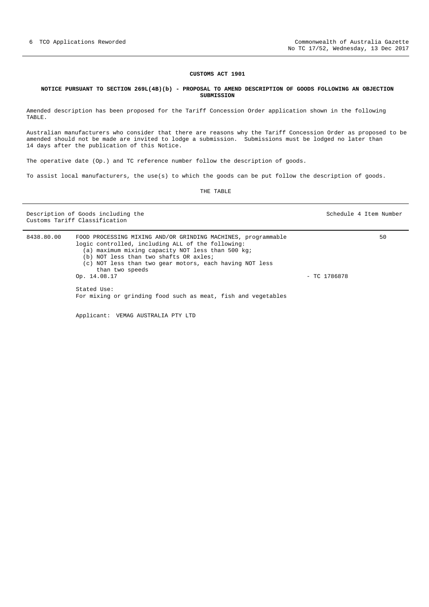#### **NOTICE PURSUANT TO SECTION 269L(4B)(b) - PROPOSAL TO AMEND DESCRIPTION OF GOODS FOLLOWING AN OBJECTION SUBMISSION**

Amended description has been proposed for the Tariff Concession Order application shown in the following TABLE.

Australian manufacturers who consider that there are reasons why the Tariff Concession Order as proposed to be amended should not be made are invited to lodge a submission. Submissions must be lodged no later than 14 days after the publication of this Notice.

The operative date (Op.) and TC reference number follow the description of goods.

To assist local manufacturers, the use(s) to which the goods can be put follow the description of goods.

THE TABLE

Description of Goods including the Schedule 4 Item Number Schedule 4 Item Number Customs Tariff Classification

| 8438.80.00 | FOOD PROCESSING MIXING AND/OR GRINDING MACHINES, programmable<br>logic controlled, including ALL of the following:<br>(a) maximum mixing capacity NOT less than 500 kg;<br>(b) NOT less than two shafts OR axles;<br>(c) NOT less than two gear motors, each having NOT less<br>than two speeds<br>Op. 14.08.17<br>Stated Use:<br>For mixing or grinding food such as meat, fish and vegetables |              | 50 |
|------------|-------------------------------------------------------------------------------------------------------------------------------------------------------------------------------------------------------------------------------------------------------------------------------------------------------------------------------------------------------------------------------------------------|--------------|----|
|            | Applicant: VEMAG AUSTRALIA PTY LTD                                                                                                                                                                                                                                                                                                                                                              | - TC 1786878 |    |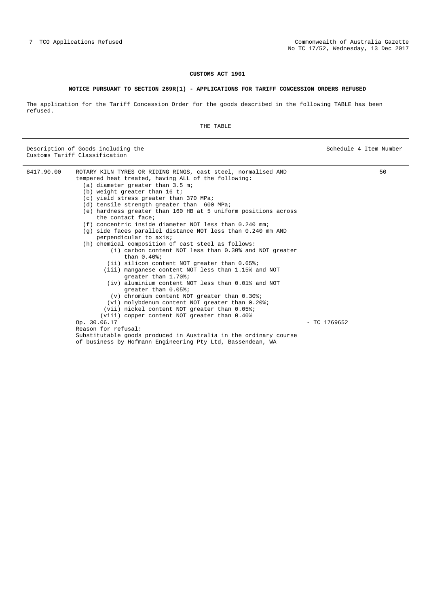#### **NOTICE PURSUANT TO SECTION 269R(1) - APPLICATIONS FOR TARIFF CONCESSION ORDERS REFUSED**

The application for the Tariff Concession Order for the goods described in the following TABLE has been refused.

THE TABLE

Description of Goods including the Schedule 4 Item Number Schedule 4 Item Number Customs Tariff Classification

8417.90.00 ROTARY KILN TYRES OR RIDING RINGS, cast steel, normalised AND tempered heat treated, having ALL of the following: (a) diameter greater than 3.5 m; (b) weight greater than 16 t; (c) yield stress greater than 370 MPa; (d) tensile strength greater than 600 MPa; (e) hardness greater than 160 HB at 5 uniform positions across the contact face; (f) concentric inside diameter NOT less than 0.240 mm; (g) side faces parallel distance NOT less than 0.240 mm AND perpendicular to axis; (h) chemical composition of cast steel as follows: (i) carbon content NOT less than 0.30% and NOT greater than 0.40%; (ii) silicon content NOT greater than 0.65%; (iii) manganese content NOT less than 1.15% and NOT greater than 1.70%; (iv) aluminium content NOT less than 0.01% and NOT greater than 0.05%; (v) chromium content NOT greater than 0.30%; (vi) molybdenum content NOT greater than 0.20%; (vii) nickel content NOT greater than 0.05%; (viii) copper content NOT greater than 0.40% Op. 30.06.17 - TC 1769652 Reason for refusal: Substitutable goods produced in Australia in the ordinary course of business by Hofmann Engineering Pty Ltd, Bassendean, WA 50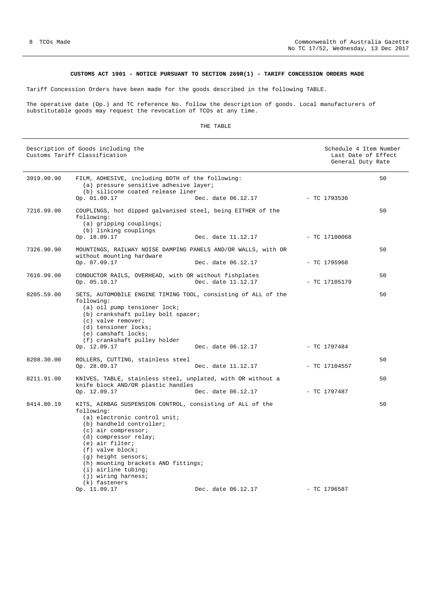#### **CUSTOMS ACT 1901 - NOTICE PURSUANT TO SECTION 269R(1) - TARIFF CONCESSION ORDERS MADE**

Tariff Concession Orders have been made for the goods described in the following TABLE.

The operative date (Op.) and TC reference No. follow the description of goods. Local manufacturers of substitutable goods may request the revocation of TCOs at any time.

#### THE TABLE

|            | Description of Goods including the<br>Customs Tariff Classification                                                                                                                                                                                                                                                                                           |                    |                 | Schedule 4 Item Number<br>Last Date of Effect<br>General Duty Rate |
|------------|---------------------------------------------------------------------------------------------------------------------------------------------------------------------------------------------------------------------------------------------------------------------------------------------------------------------------------------------------------------|--------------------|-----------------|--------------------------------------------------------------------|
| 3919.90.90 | FILM, ADHESIVE, including BOTH of the following:<br>(a) pressure sensitive adhesive layer;<br>(b) silicone coated release liner                                                                                                                                                                                                                               |                    |                 | 50                                                                 |
|            | Op. 01.09.17                                                                                                                                                                                                                                                                                                                                                  | Dec. date 06.12.17 | - TC 1793536    |                                                                    |
| 7216.99.00 | COUPLINGS, hot dipped galvanised steel, being EITHER of the<br>following:<br>$(a)$ gripping couplings;<br>(b) linking couplings                                                                                                                                                                                                                               |                    |                 | 50                                                                 |
|            | Op. 18.09.17                                                                                                                                                                                                                                                                                                                                                  | Dec. date 11.12.17 | $-$ TC 17100068 |                                                                    |
| 7326.90.90 | MOUNTINGS, RAILWAY NOISE DAMPING PANELS AND/OR WALLS, with OR<br>without mounting hardware                                                                                                                                                                                                                                                                    |                    |                 | 50                                                                 |
|            | Op. 07.09.17                                                                                                                                                                                                                                                                                                                                                  | Dec. date 06.12.17 | $-$ TC 1795968  |                                                                    |
| 7616.99.00 | CONDUCTOR RAILS, OVERHEAD, with OR without fishplates<br>Op. 05.10.17                                                                                                                                                                                                                                                                                         | Dec. date 11.12.17 | $-$ TC 17105179 | 50                                                                 |
| 8205.59.00 | SETS, AUTOMOBILE ENGINE TIMING TOOL, consisting of ALL of the<br>following:<br>(a) oil pump tensioner lock;<br>(b) crankshaft pulley bolt spacer;<br>$(c)$ valve remover;<br>(d) tensioner locks;<br>(e) camshaft locks;<br>(f) crankshaft pulley holder<br>Op. 12.09.17                                                                                      | Dec. date 06.12.17 | $-$ TC 1797484  | 50                                                                 |
| 8208.30.00 | ROLLERS, CUTTING, stainless steel                                                                                                                                                                                                                                                                                                                             |                    |                 | 50                                                                 |
|            | Op. 28.09.17                                                                                                                                                                                                                                                                                                                                                  | Dec. date 11.12.17 | $-$ TC 17104557 |                                                                    |
| 8211.91.00 | KNIVES, TABLE, stainless steel, unplated, with OR without a<br>knife block AND/OR plastic handles                                                                                                                                                                                                                                                             |                    |                 | 50                                                                 |
|            | Op. 12.09.17                                                                                                                                                                                                                                                                                                                                                  | Dec. date 06.12.17 | $-$ TC 1797487  |                                                                    |
| 8414.80.19 | KITS, AIRBAG SUSPENSION CONTROL, consisting of ALL of the<br>following:<br>(a) electronic control unit;<br>(b) handheld controller;<br>$(c)$ air compressor;<br>(d) compressor relay;<br>(e) air filter;<br>$(f)$ valve block;<br>(q) height sensors;<br>(h) mounting brackets AND fittings;<br>(i) airline tubing;<br>$(j)$ wiring harness;<br>(k) fasteners |                    |                 | 50                                                                 |
|            | Op. 11.09.17                                                                                                                                                                                                                                                                                                                                                  | Dec. date 06.12.17 | $-$ TC 1796587  |                                                                    |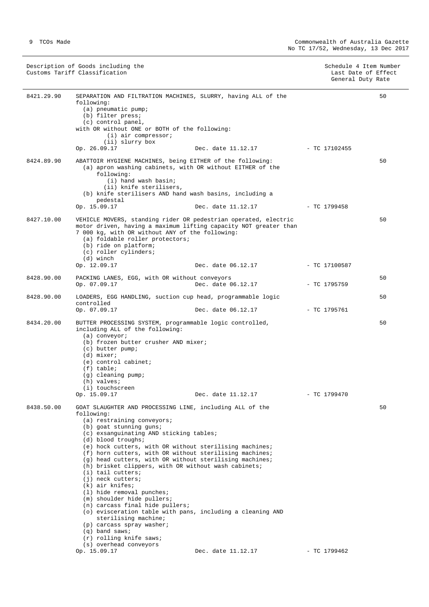| Description of Goods including the | Schedule 4 Item Number |
|------------------------------------|------------------------|
| Customs Tariff Classification      | Last Date of Effect    |
|                                    | General Duty Rate      |

| 8421.29.90 | SEPARATION AND FILTRATION MACHINES, SLURRY, having ALL of the<br>following:<br>(a) pneumatic pump;<br>(b) filter press;<br>(c) control panel,<br>with OR without ONE or BOTH of the following:<br>$(i)$ air compressor;<br>(ii) slurry box<br>Op. 26.09.17                                                                                                                                                                                                                                                                                                                                                                                                                                                                                                                                               | Dec. date 11.12.17 - TC 17102455 |                 | 50 |
|------------|----------------------------------------------------------------------------------------------------------------------------------------------------------------------------------------------------------------------------------------------------------------------------------------------------------------------------------------------------------------------------------------------------------------------------------------------------------------------------------------------------------------------------------------------------------------------------------------------------------------------------------------------------------------------------------------------------------------------------------------------------------------------------------------------------------|----------------------------------|-----------------|----|
| 8424.89.90 | ABATTOIR HYGIENE MACHINES, being EITHER of the following:<br>(a) apron washing cabinets, with OR without EITHER of the<br>following:<br>(i) hand wash basin;<br>(ii) knife sterilisers,<br>(b) knife sterilisers AND hand wash basins, including a<br>pedestal<br>Op. 15.09.17                                                                                                                                                                                                                                                                                                                                                                                                                                                                                                                           | Dec. date 11.12.17               | - TC 1799458    | 50 |
| 8427.10.00 | VEHICLE MOVERS, standing rider OR pedestrian operated, electric<br>motor driven, having a maximum lifting capacity NOT greater than<br>7 000 kg, with OR without ANY of the following:<br>(a) foldable roller protectors;<br>(b) ride on platform;<br>(c) roller cylinders;<br>(d) winch<br>Op. 12.09.17                                                                                                                                                                                                                                                                                                                                                                                                                                                                                                 | Dec. date 06.12.17               | $-$ TC 17100587 | 50 |
| 8428.90.00 | PACKING LANES, EGG, with OR without conveyors<br>Op. 07.09.17                                                                                                                                                                                                                                                                                                                                                                                                                                                                                                                                                                                                                                                                                                                                            | Dec. date 06.12.17               | $-$ TC 1795759  | 50 |
| 8428.90.00 | LOADERS, EGG HANDLING, suction cup head, programmable logic<br>controlled<br>Op. 07.09.17                                                                                                                                                                                                                                                                                                                                                                                                                                                                                                                                                                                                                                                                                                                | Dec. date 06.12.17               | - TC 1795761    | 50 |
| 8434.20.00 | BUTTER PROCESSING SYSTEM, programmable logic controlled,<br>including ALL of the following:<br>$(a)$ conveyor;<br>(b) frozen butter crusher AND mixer;<br>(c) butter pump;<br>(d) mixer;<br>(e) control cabinet;<br>$(f)$ table;<br>(g) cleaning pump;<br>(h) valves;<br>(i) touchscreen<br>Op. 15.09.17                                                                                                                                                                                                                                                                                                                                                                                                                                                                                                 | Dec. date 11.12.17               | $-$ TC 1799470  | 50 |
| 8438.50.00 | GOAT SLAUGHTER AND PROCESSING LINE, including ALL of the<br>following:<br>(a) restraining conveyors;<br>$(b)$ goat stunning guns;<br>(c) exsanguinating AND sticking tables;<br>(d) blood troughs;<br>(e) hock cutters, with OR without sterilising machines;<br>(f) horn cutters, with OR without sterilising machines;<br>(g) head cutters, with OR without sterilising machines;<br>(h) brisket clippers, with OR without wash cabinets;<br>$(i)$ tail cutters;<br>(j) neck cutters;<br>$(k)$ air knifes;<br>$(1)$ hide removal punches;<br>(m) shoulder hide pullers;<br>(n) carcass final hide pullers;<br>(o) evisceration table with pans, including a cleaning AND<br>sterilising machine;<br>(p) carcass spray washer;<br>$(q)$ band saws;<br>(r) rolling knife saws;<br>(s) overhead conveyors |                                  |                 | 50 |
|            | Op. 15.09.17                                                                                                                                                                                                                                                                                                                                                                                                                                                                                                                                                                                                                                                                                                                                                                                             | Dec. date 11.12.17               | $-$ TC 1799462  |    |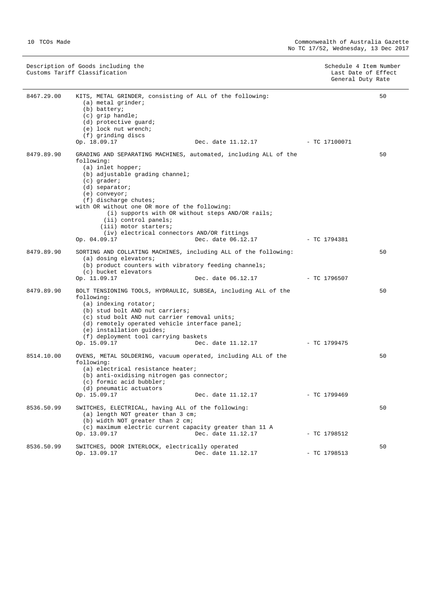|            | Description of Goods including the<br>Customs Tariff Classification                                                                                                                                                                                                                                                        |                                                                                                                                            | Schedule 4 Item Number<br>Last Date of Effect<br>General Duty Rate |    |
|------------|----------------------------------------------------------------------------------------------------------------------------------------------------------------------------------------------------------------------------------------------------------------------------------------------------------------------------|--------------------------------------------------------------------------------------------------------------------------------------------|--------------------------------------------------------------------|----|
| 8467.29.00 | KITS, METAL GRINDER, consisting of ALL of the following:<br>$(a)$ metal grinder;<br>(b) battery;<br>$(c)$ grip handle;<br>(d) protective quard;<br>(e) lock nut wrench;<br>(f) grinding discs<br>Op. 18.09.17                                                                                                              | Dec. date 11.12.17 - TC 17100071                                                                                                           |                                                                    | 50 |
| 8479.89.90 | following:<br>$(a)$ inlet hopper;<br>(b) adjustable grading channel;<br>$(c)$ grader;<br>$(d)$ separator;<br>$(e)$ conveyor;<br>$(f)$ discharge chutes;<br>with OR without one OR more of the following:<br>$(iii)$ control panels;<br>(iii) motor starters;<br>(iv) electrical connectors AND/OR fittings<br>Op. 04.09.17 | GRADING AND SEPARATING MACHINES, automated, including ALL of the<br>(i) supports with OR without steps AND/OR rails;<br>Dec. date 06.12.17 | $-$ TC 1794381                                                     | 50 |
| 8479.89.90 | SORTING AND COLLATING MACHINES, including ALL of the following:<br>(a) dosing elevators;<br>(b) product counters with vibratory feeding channels;<br>(c) bucket elevators<br>Op. 11.09.17                                                                                                                                  | Dec. date 06.12.17                                                                                                                         | $-$ TC 1796507                                                     | 50 |
| 8479.89.90 | BOLT TENSIONING TOOLS, HYDRAULIC, SUBSEA, including ALL of the<br>following:<br>(a) indexing rotator;<br>(b) stud bolt AND nut carriers;                                                                                                                                                                                   |                                                                                                                                            |                                                                    | 50 |

|            | (c) stud bolt AND nut carrier removal units;<br>(d) remotely operated vehicle interface panel;<br>(e) installation quides;<br>(f) deployment tool carrying baskets<br>Op. 15.09.17 | Dec. date 11.12.17                                            | - TC 1799475   |    |
|------------|------------------------------------------------------------------------------------------------------------------------------------------------------------------------------------|---------------------------------------------------------------|----------------|----|
| 8514.10.00 | following:<br>(a) electrical resistance heater;<br>(b) anti-oxidising nitrogen gas connector;<br>(c) formic acid bubbler;                                                          | OVENS, METAL SOLDERING, vacuum operated, including ALL of the |                | 50 |
|            | (d) pneumatic actuators<br>Op. 15.09.17                                                                                                                                            | Dec. date 11.12.17                                            | $-$ TC 1799469 |    |
| 8536.50.99 | SWITCHES, ELECTRICAL, having ALL of the following:<br>(a) length NOT greater than 3 cm;<br>(b) width NOT greater than 2 cm;                                                        | (c) maximum electric current capacity greater than 11 A       |                | 50 |
|            | Op. 13.09.17                                                                                                                                                                       | Dec. date 11.12.17                                            | $-$ TC 1798512 |    |
| 8536.50.99 | SWITCHES, DOOR INTERLOCK, electrically operated<br>Op. 13.09.17                                                                                                                    | Dec. date 11.12.17                                            | $-$ TC 1798513 | 50 |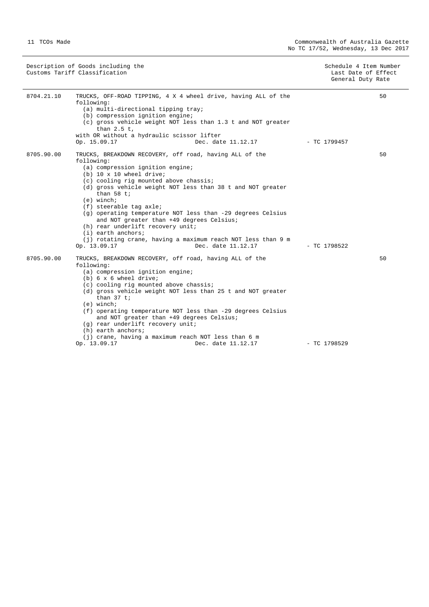Description of Goods including the Schedule 4 Item Number (Schedule 4 Item Number 6 Australia) Customs Tariff Classification Last Date of Effect

General Duty Rate

| 8704.21.10 | TRUCKS, OFF-ROAD TIPPING, 4 X 4 wheel drive, having ALL of the<br>following:<br>(a) multi-directional tipping tray;<br>(b) compression ignition engine;<br>(c) gross vehicle weight NOT less than 1.3 t and NOT greater<br>than $2.5$ t,<br>with OR without a hydraulic scissor lifter<br>Op. 15.09.17<br>Dec. date 11.12.17                                                                                                                                                                                                                                                               | - TC 1799457                   | 50 |
|------------|--------------------------------------------------------------------------------------------------------------------------------------------------------------------------------------------------------------------------------------------------------------------------------------------------------------------------------------------------------------------------------------------------------------------------------------------------------------------------------------------------------------------------------------------------------------------------------------------|--------------------------------|----|
| 8705.90.00 | TRUCKS, BREAKDOWN RECOVERY, off road, having ALL of the<br>following:<br>(a) compression ignition engine;<br>$(b)$ 10 x 10 wheel drive;<br>(c) cooling rig mounted above chassis;<br>(d) gross vehicle weight NOT less than 38 t and NOT greater<br>than $58$ t;<br>$(e)$ winch;<br>(f) steerable tag axle;<br>(g) operating temperature NOT less than -29 degrees Celsius<br>and NOT greater than +49 degrees Celsius;<br>(h) rear underlift recovery unit;<br>$(i)$ earth anchors;<br>(j) rotating crane, having a maximum reach NOT less than 9 m                                       |                                | 50 |
| 8705.90.00 | Op. 13.09.17<br>Dec. date 11.12.17<br>TRUCKS, BREAKDOWN RECOVERY, off road, having ALL of the<br>following:<br>(a) compression ignition engine;<br>$(b)$ 6 x 6 wheel drive;<br>(c) cooling rig mounted above chassis;<br>(d) gross vehicle weight NOT less than 25 t and NOT greater<br>than $37$ t;<br>$(e)$ winch;<br>(f) operating temperature NOT less than -29 degrees Celsius<br>and NOT greater than +49 degrees Celsius;<br>(q) rear underlift recovery unit;<br>$(h)$ earth anchors;<br>(j) crane, having a maximum reach NOT less than 6 m<br>Op. 13.09.17<br>Dec. date 11.12.17 | $-$ TC 1798522<br>- TC 1798529 | 50 |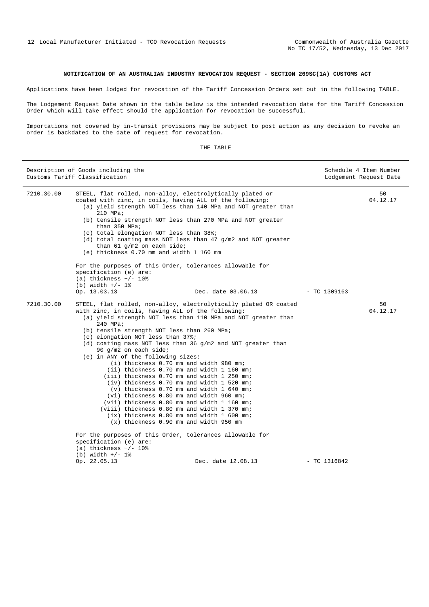#### **NOTIFICATION OF AN AUSTRALIAN INDUSTRY REVOCATION REQUEST - SECTION 269SC(1A) CUSTOMS ACT**

Applications have been lodged for revocation of the Tariff Concession Orders set out in the following TABLE.

The Lodgement Request Date shown in the table below is the intended revocation date for the Tariff Concession Order which will take effect should the application for revocation be successful.

Importations not covered by in-transit provisions may be subject to post action as any decision to revoke an order is backdated to the date of request for revocation.

| TH)<br>EL P. | TARLE |
|--------------|-------|
|              |       |

|            | Description of Goods including the<br>Customs Tariff Classification                                                                                                                                                                                                                                                                                                                                                                                                                                                                                                                                                                                                                                                                                                                                                                                                                            | Schedule 4 Item Number<br>Lodgement Request Date |
|------------|------------------------------------------------------------------------------------------------------------------------------------------------------------------------------------------------------------------------------------------------------------------------------------------------------------------------------------------------------------------------------------------------------------------------------------------------------------------------------------------------------------------------------------------------------------------------------------------------------------------------------------------------------------------------------------------------------------------------------------------------------------------------------------------------------------------------------------------------------------------------------------------------|--------------------------------------------------|
| 7210.30.00 | STEEL, flat rolled, non-alloy, electrolytically plated or<br>coated with zinc, in coils, having ALL of the following:<br>(a) yield strength NOT less than 140 MPa and NOT greater than<br>$210$ MPa;<br>(b) tensile strength NOT less than 270 MPa and NOT greater<br>than 350 MPa;<br>(c) total elongation NOT less than 38%;<br>(d) total coating mass NOT less than 47 g/m2 and NOT greater<br>than 61 $q/m2$ on each side;<br>(e) thickness 0.70 mm and width 1 160 mm                                                                                                                                                                                                                                                                                                                                                                                                                     | 50<br>04.12.17                                   |
|            | For the purposes of this Order, tolerances allowable for<br>specification (e) are:<br>(a) thickness $+/- 10\%$<br>(b) width $+/- 1$ %<br>Op. 13.03.13<br>Dec. date 03.06.13                                                                                                                                                                                                                                                                                                                                                                                                                                                                                                                                                                                                                                                                                                                    | $- TC$ 1309163                                   |
| 7210.30.00 | STEEL, flat rolled, non-alloy, electrolytically plated OR coated<br>with zinc, in coils, having ALL of the following:<br>(a) yield strength NOT less than 110 MPa and NOT greater than<br>$240$ MPa;<br>(b) tensile strength NOT less than 260 MPa;<br>(c) elongation NOT less than 37%;<br>(d) coating mass NOT less than 36 $q/m2$ and NOT greater than<br>90 q/m2 on each side;<br>(e) in ANY of the following sizes:<br>(i) thickness 0.70 mm and width 980 mm;<br>(ii) thickness 0.70 mm and width 1 160 mm;<br>(iii) thickness 0.70 mm and width 1 250 mm;<br>(iv) thickness 0.70 mm and width 1 520 mm;<br>(v) thickness 0.70 mm and width 1 640 mm;<br>(vi) thickness 0.80 mm and width 960 mm;<br>(vii) thickness 0.80 mm and width 1 160 mm;<br>(viii) thickness 0.80 mm and width 1 370 mm;<br>(ix) thickness 0.80 mm and width 1 600 mm;<br>(x) thickness 0.90 mm and width 950 mm | 50<br>04.12.17                                   |
|            | For the purposes of this Order, tolerances allowable for<br>specification (e) are:<br>(a) thickness $+/- 10o$<br>$(b) width +/- 1%$<br>Op. 22.05.13<br>Dec. date 12.08.13                                                                                                                                                                                                                                                                                                                                                                                                                                                                                                                                                                                                                                                                                                                      | $-$ TC 1316842                                   |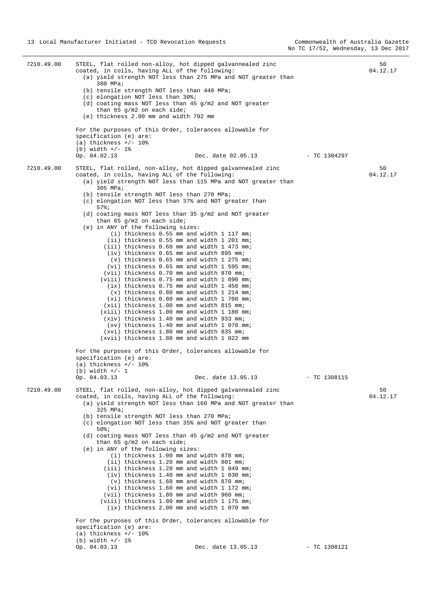7210.49.00 STEEL, flat rolled non-alloy, hot dipped galvannealed zinc coated, in coils, having ALL of the following: (a) yield strength NOT less than 275 MPa and NOT greater than 380 MPa; (b) tensile strength NOT less than 440 MPa; (c) elongation NOT less than 30%; (d) coating mass NOT less than 45 g/m2 and NOT greater than 65 g/m2 on each side; (e) thickness 2.00 mm and width 792 mm For the purposes of this Order, tolerances allowable for specification (e) are: (a) thickness  $+/- 10$ % (b) width  $+/- 1$ %<br>Op. 04.02.13 Op. 04.02.13 Dec. date 02.05.13 - TC 1304297  $50$ 04.12.17 7210.49.00 STEEL, flat rolled, non-alloy, hot dipped galvannealed zinc coated, in coils, having ALL of the following: (a) yield strength NOT less than 115 MPa and NOT greater than 305 MPa; (b) tensile strength NOT less than 270 MPa; (c) elongation NOT less than 37% and NOT greater than 57%; (d) coating mass NOT less than 35 g/m2 and NOT greater than 65 g/m2 on each side; (e) in ANY of the following sizes: (i) thickness 0.55 mm and width 1 117 mm; (ii) thickness 0.55 mm and width 1 201 mm; (iii) thickness 0.60 mm and width 1 473 mm; (iv) thickness 0.65 mm and width 895 mm; (v) thickness 0.65 mm and width 1 275 mm; (vi) thickness 0.65 mm and width 1 595 mm; (vii) thickness 0.70 mm and width 870 mm; (viii) thickness 0.75 mm and width 1 090 mm; (ix) thickness 0.75 mm and width 1 450 mm; (x) thickness 0.80 mm and width 1 214 mm; (xi) thickness 0.80 mm and width 1 700 mm; (xii) thickness 1.00 mm and width 815 mm; (xiii) thickness 1.00 mm and width 1 180 mm; (xiv) thickness 1.40 mm and width 933 mm; (xv) thickness 1.40 mm and width 1 070 mm; (xvi) thickness 1.80 mm and width 835 mm; (xvii) thickness 1.80 mm and width 1 022 mm For the purposes of this Order, tolerances allowable for specification (e) are:  $(a)$  thickness  $+/$ - 10%  $(h)$  width  $+/- 1$ Op. 04.03.13 Dec. date 13.05.13 - TC 1308115 50 04.12.17 7210.49.00 STEEL, flat rolled, non-alloy, hot dipped galvannealed zinc coated, in coils, having ALL of the following: (a) yield strength NOT less than 160 MPa and NOT greater than 325 MPa; (b) tensile strength NOT less than 270 MPa; (c) elongation NOT less than 35% and NOT greater than 50%; (d) coating mass NOT less than 45 g/m2 and NOT greater than 65 g/m2 on each side; (e) in ANY of the following sizes: (i) thickness 1.00 mm and width 878 mm; (ii) thickness 1.20 mm and width 801 mm; (iii) thickness 1.20 mm and width 1 049 mm; (iv) thickness 1.40 mm and width 1 030 mm; (v) thickness 1.60 mm and width 870 mm; (vi) thickness 1.60 mm and width 1 172 mm; (vii) thickness 1.80 mm and width 960 mm; (viii) thickness 1.80 mm and width 1 175 mm; (ix) thickness 2.00 mm and width 1 070 mm For the purposes of this Order, tolerances allowable for specification (e) are:  $(a)$  thickness  $+/$ - 10% (b) width  $+/- 1$  %<br>Op. 04.03.13 Op. 04.03.13 Dec. date 13.05.13 - TC 1308121  $50$ 04.12.17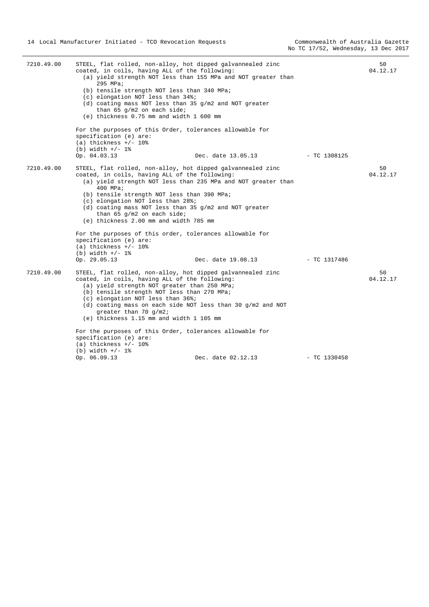| 7210.49.00 | STEEL, flat rolled, non-alloy, hot dipped galvannealed zinc<br>coated, in coils, having ALL of the following:<br>(a) yield strength NOT less than 155 MPa and NOT greater than<br>295 MPa;<br>(b) tensile strength NOT less than 340 MPa;<br>(c) elongation NOT less than 34%;<br>(d) coating mass NOT less than 35 $g/m2$ and NOT greater<br>than 65 $q/m2$ on each side;<br>(e) thickness 0.75 mm and width 1 600 mm<br>For the purposes of this Order, tolerances allowable for |                                                                                                                                                                                          |                | 50<br>04.12.17 |
|------------|------------------------------------------------------------------------------------------------------------------------------------------------------------------------------------------------------------------------------------------------------------------------------------------------------------------------------------------------------------------------------------------------------------------------------------------------------------------------------------|------------------------------------------------------------------------------------------------------------------------------------------------------------------------------------------|----------------|----------------|
|            | specification (e) are:<br>(a) thickness $+/- 10$ %<br>(b) width $+/- 1$ %                                                                                                                                                                                                                                                                                                                                                                                                          |                                                                                                                                                                                          |                |                |
|            | Op. 04.03.13                                                                                                                                                                                                                                                                                                                                                                                                                                                                       | Dec. date 13.05.13                                                                                                                                                                       | $-$ TC 1308125 |                |
| 7210.49.00 | coated, in coils, having ALL of the following:<br>400 MPa;<br>(b) tensile strength NOT less than 390 MPa;<br>(c) elongation NOT less than 28%;<br>than 65 $g/m2$ on each side;<br>(e) thickness 2.00 mm and width 785 mm                                                                                                                                                                                                                                                           | STEEL, flat rolled, non-alloy, hot dipped galvannealed zinc<br>(a) yield strength NOT less than 235 MPa and NOT greater than<br>(d) coating mass NOT less than 35 $q/m2$ and NOT greater |                | 50<br>04.12.17 |
|            | specification (e) are:<br>(a) thickness $+/- 108$<br>(b) width $+/- 1$ %                                                                                                                                                                                                                                                                                                                                                                                                           | For the purposes of this order, tolerances allowable for                                                                                                                                 |                |                |
|            | Op. 29.05.13                                                                                                                                                                                                                                                                                                                                                                                                                                                                       | Dec. date 19.08.13                                                                                                                                                                       | $-$ TC 1317486 |                |
| 7210.49.00 | coated, in coils, having ALL of the following:<br>(a) yield strength NOT greater than 250 MPa;<br>(b) tensile strength NOT less than 270 MPa;<br>(c) elongation NOT less than 36%;<br>greater than 70 $q/m2i$<br>(e) thickness 1.15 mm and width 1 105 mm                                                                                                                                                                                                                          | STEEL, flat rolled, non-alloy, hot dipped galvannealed zinc<br>(d) coating mass on each side NOT less than 30 g/m2 and NOT                                                               |                | 50<br>04.12.17 |
|            | specification (e) are:<br>(a) thickness $+/- 108$                                                                                                                                                                                                                                                                                                                                                                                                                                  | For the purposes of this Order, tolerances allowable for                                                                                                                                 |                |                |
|            | (b) width $+/- 1$ %<br>Op. 06.09.13                                                                                                                                                                                                                                                                                                                                                                                                                                                | Dec. date 02.12.13                                                                                                                                                                       | $-$ TC 1330458 |                |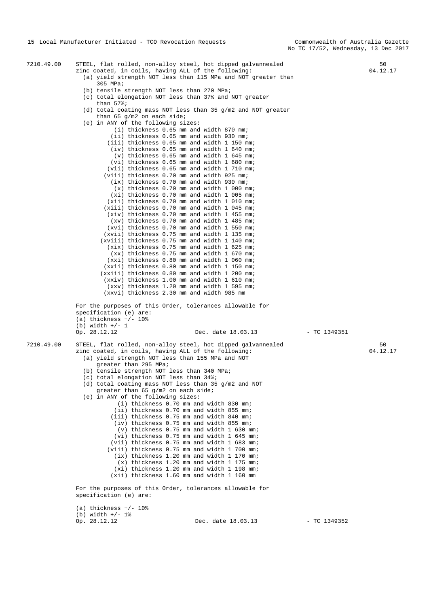```
7210.49.00 STEEL, flat rolled, non-alloy steel, hot dipped galvannealed 
              zinc coated, in coils, having ALL of the following: 
                 (a) yield strength NOT less than 115 MPa and NOT greater than 
                      305 MPa; 
                 (b) tensile strength NOT less than 270 MPa; 
                 (c) total elongation NOT less than 37% and NOT greater 
                     than 57%; 
                 (d) total coating mass NOT less than 35 g/m2 and NOT greater 
                    than 65 g/m2 on each side;
                  (e) in ANY of the following sizes: 
                          (i) thickness 0.65 mm and width 870 mm; 
                          (ii) thickness 0.65 mm and width 930 mm; 
                         (iii) thickness 0.65 mm and width 1 150 mm; 
                          (iv) thickness 0.65 mm and width 1 640 mm; 
                           (v) thickness 0.65 mm and width 1 645 mm; 
                          (vi) thickness 0.65 mm and width 1 680 mm; 
                         (vii) thickness 0.65 mm and width 1 710 mm; 
                        (viii) thickness 0.70 mm and width 925 mm; 
                          (ix) thickness 0.70 mm and width 930 mm; 
                           (x) thickness 0.70 mm and width 1 000 mm; 
                          (xi) thickness 0.70 mm and width 1 005 mm; 
                         (xii) thickness 0.70 mm and width 1 010 mm; 
                        (xiii) thickness 0.70 mm and width 1 045 mm; 
                         (xiv) thickness 0.70 mm and width 1 455 mm; 
                          (xv) thickness 0.70 mm and width 1 485 mm; 
                         (xvi) thickness 0.70 mm and width 1 550 mm; 
                        (xvii) thickness 0.75 mm and width 1 135 mm; 
                       (xviii) thickness 0.75 mm and width 1 140 mm; 
                         (xix) thickness 0.75 mm and width 1 625 mm; 
                          (xx) thickness 0.75 mm and width 1 670 mm; 
                         (xxi) thickness 0.80 mm and width 1 060 mm; 
                        (xxii) thickness 0.80 mm and width 1 150 mm; 
                       (xxiii) thickness 0.80 mm and width 1 200 mm; 
                        (xxiv) thickness 1.00 mm and width 1 610 mm; 
                         (xxv) thickness 1.20 mm and width 1 595 mm; 
                        (xxvi) thickness 2.30 mm and width 985 mm 
              For the purposes of this Order, tolerances allowable for 
              specification (e) are: 
              (a) thickness +/- 10%
              (b) width +/- 1<br>Op. 28.12.12
                                                  Dec. date 18.03.13 - TC 1349351
                                                                                                          5004.12.17 
7210.49.00 STEEL, flat rolled, non-alloy steel, hot dipped galvannealed 
              zinc coated, in coils, having ALL of the following: 
                 (a) yield strength NOT less than 155 MPa and NOT 
                     greater than 295 MPa; 
                 (b) tensile strength NOT less than 340 MPa; 
                 (c) total elongation NOT less than 34%; 
                 (d) total coating mass NOT less than 35 g/m2 and NOT 
                     greater than 65 g/m2 on each side; 
                 (e) in ANY of the following sizes: 
                            (i) thickness 0.70 mm and width 830 mm; 
                           (ii) thickness 0.70 mm and width 855 mm; 
                          (iii) thickness 0.75 mm and width 840 mm; 
                         (iy) thickness 0.75 mm and width 855 mm;
                            (v) thickness 0.75 mm and width 1 630 mm; 
                           (vi) thickness 0.75 mm and width 1 645 mm; 
                          (vii) thickness 0.75 mm and width 1 683 mm; 
                         (viii) thickness 0.75 mm and width 1 700 mm; 
                           (ix) thickness 1.20 mm and width 1 170 mm; 
                            (x) thickness 1.20 mm and width 1 175 mm; 
                           (xi) thickness 1.20 mm and width 1 198 mm; 
                          (xii) thickness 1.60 mm and width 1 160 mm 
              For the purposes of this Order, tolerances allowable for 
              specification (e) are: 
              (a) thickness +/- 10%
              (b) width +/- 1% 
              Op. 28.12.12 Dec. date 18.03.13 - TC 1349352 
                                                                                                          50 
                                                                                                       04.12.17
```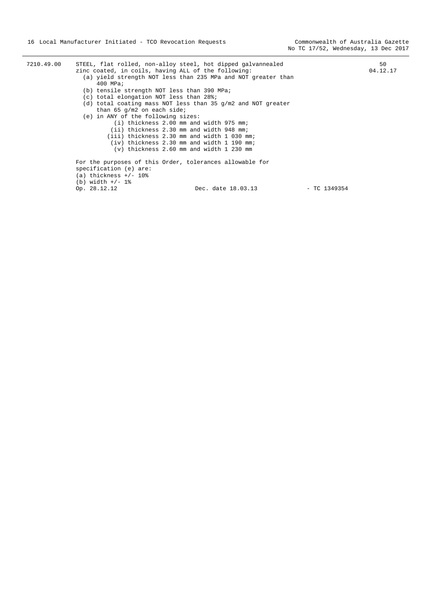| 7210.49.00 |                                             | STEEL, flat rolled, non-alloy steel, hot dipped galvannealed   |                | 50       |
|------------|---------------------------------------------|----------------------------------------------------------------|----------------|----------|
|            |                                             | zinc coated, in coils, having ALL of the following:            |                | 04.12.17 |
|            |                                             | (a) yield strength NOT less than 235 MPa and NOT greater than  |                |          |
|            | $400$ MPa;                                  |                                                                |                |          |
|            | (b) tensile strength NOT less than 390 MPa; |                                                                |                |          |
|            | (c) total elongation NOT less than 28%;     |                                                                |                |          |
|            |                                             | (d) total coating mass NOT less than 35 $q/m2$ and NOT greater |                |          |
|            | than 65 $q/m2$ on each side;                |                                                                |                |          |
|            | (e) in ANY of the following sizes:          |                                                                |                |          |
|            |                                             | (i) thickness 2.00 mm and width 975 mm;                        |                |          |
|            |                                             | (ii) thickness 2.30 mm and width 948 mm;                       |                |          |
|            |                                             | (iii) thickness 2.30 mm and width 1 030 mm;                    |                |          |
|            |                                             | $(iv)$ thickness 2.30 mm and width 1 190 mm;                   |                |          |
|            |                                             | $(v)$ thickness 2.60 mm and width 1 230 mm                     |                |          |
|            |                                             | For the purposes of this Order, tolerances allowable for       |                |          |
|            | specification (e) are:                      |                                                                |                |          |
|            | $(a)$ thickness $+/$ - 10%                  |                                                                |                |          |
|            | (b) width $+/- 1$ %                         |                                                                |                |          |
|            | Op. 28.12.12                                | Dec. date 18.03.13                                             | $-$ TC 1349354 |          |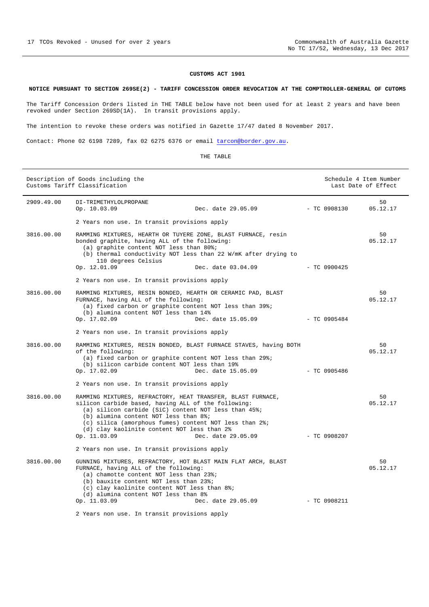#### **NOTICE PURSUANT TO SECTION 269SE(2) - TARIFF CONCESSION ORDER REVOCATION AT THE COMPTROLLER-GENERAL OF CUTOMS**

The Tariff Concession Orders listed in THE TABLE below have not been used for at least 2 years and have been revoked under Section 269SD(1A). In transit provisions apply.

The intention to revoke these orders was notified in Gazette 17/47 dated 8 November 2017.

Contact: Phone 02 6198 7289, fax 02 6275 6376 or email tarcon@border.gov.au.

| RТ |
|----|
|    |

| Description of Goods including the<br>Customs Tariff Classification |                                                                                                                                                                                                                                                                                                                                                                       | Schedule 4 Item Number<br>Last Date of Effect |                |
|---------------------------------------------------------------------|-----------------------------------------------------------------------------------------------------------------------------------------------------------------------------------------------------------------------------------------------------------------------------------------------------------------------------------------------------------------------|-----------------------------------------------|----------------|
| 2909.49.00                                                          | DI-TRIMETHYLOLPROPANE<br>Op. 10.03.09<br>Dec. date 29.05.09                                                                                                                                                                                                                                                                                                           | $-$ TC 0908130                                | 50<br>05.12.17 |
|                                                                     | 2 Years non use. In transit provisions apply                                                                                                                                                                                                                                                                                                                          |                                               |                |
| 3816.00.00                                                          | RAMMING MIXTURES, HEARTH OR TUYERE ZONE, BLAST FURNACE, resin<br>bonded graphite, having ALL of the following:<br>(a) graphite content NOT less than 80%;<br>(b) thermal conductivity NOT less than 22 W/mK after drying to<br>110 degrees Celsius<br>Op. 12.01.09<br>Dec. date 03.04.09                                                                              | $-$ TC 0900425                                | 50<br>05.12.17 |
|                                                                     | 2 Years non use. In transit provisions apply                                                                                                                                                                                                                                                                                                                          |                                               |                |
| 3816.00.00                                                          | RAMMING MIXTURES, RESIN BONDED, HEARTH OR CERAMIC PAD, BLAST<br>FURNACE, having ALL of the following:<br>(a) fixed carbon or graphite content NOT less than 39%;<br>(b) alumina content NOT less than 14%<br>Dec. date 15.05.09<br>Op. 17.02.09                                                                                                                       | $-$ TC 0905484                                | 50<br>05.12.17 |
|                                                                     | 2 Years non use. In transit provisions apply                                                                                                                                                                                                                                                                                                                          |                                               |                |
| 3816.00.00                                                          | RAMMING MIXTURES, RESIN BONDED, BLAST FURNACE STAVES, having BOTH<br>of the following:<br>(a) fixed carbon or graphite content NOT less than 29%;<br>(b) silicon carbide content NOT less than 19%<br>Op. 17.02.09<br>Dec. date 15.05.09                                                                                                                              | $-$ TC 0905486                                | 50<br>05.12.17 |
|                                                                     | 2 Years non use. In transit provisions apply                                                                                                                                                                                                                                                                                                                          |                                               |                |
| 3816.00.00                                                          | RAMMING MIXTURES, REFRACTORY, HEAT TRANSFER, BLAST FURNACE,<br>silicon carbide based, having ALL of the following:<br>(a) silicon carbide (SiC) content NOT less than $45\$ ;<br>(b) alumina content NOT less than 8%;<br>(c) silica (amorphous fumes) content NOT less than 2%;<br>(d) clay kaolinite content NOT less than 2%<br>Dec. date 29.05.09<br>Op. 11.03.09 | $-$ TC 0908207                                | 50<br>05.12.17 |
|                                                                     | 2 Years non use. In transit provisions apply                                                                                                                                                                                                                                                                                                                          |                                               |                |
| 3816.00.00                                                          | GUNNING MIXTURES, REFRACTORY, HOT BLAST MAIN FLAT ARCH, BLAST<br>FURNACE, having ALL of the following:<br>(a) chamotte content NOT less than 23%;<br>(b) bauxite content NOT less than 23%;<br>(c) clay kaolinite content NOT less than 8%;<br>(d) alumina content NOT less than 8%<br>Dec. date 29.05.09<br>Op. 11.03.09                                             | $-$ TC 0908211                                | 50<br>05.12.17 |
|                                                                     | 2 Years non use. In transit provisions apply                                                                                                                                                                                                                                                                                                                          |                                               |                |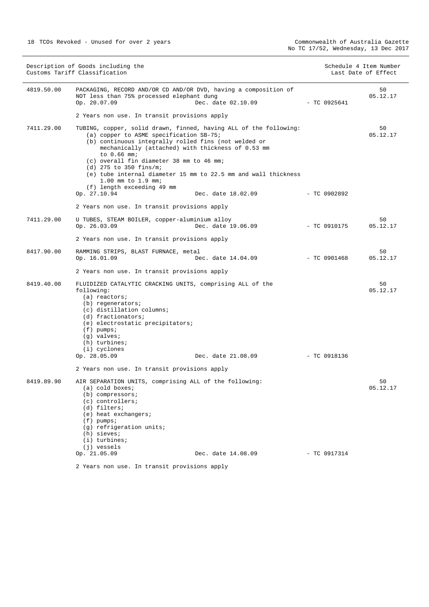|            | Description of Goods including the<br>Customs Tariff Classification                                                                                                                                                                                                                                                                                                                                                                      |                    |                | Schedule 4 Item Number<br>Last Date of Effect |
|------------|------------------------------------------------------------------------------------------------------------------------------------------------------------------------------------------------------------------------------------------------------------------------------------------------------------------------------------------------------------------------------------------------------------------------------------------|--------------------|----------------|-----------------------------------------------|
| 4819.50.00 | PACKAGING, RECORD AND/OR CD AND/OR DVD, having a composition of<br>NOT less than 75% processed elephant dung<br>Op. 20.07.09                                                                                                                                                                                                                                                                                                             | Dec. date 02.10.09 | - TC 0925641   | 50<br>05.12.17                                |
|            | 2 Years non use. In transit provisions apply                                                                                                                                                                                                                                                                                                                                                                                             |                    |                |                                               |
| 7411.29.00 | TUBING, copper, solid drawn, finned, having ALL of the following:<br>(a) copper to ASME specification SB-75;<br>(b) continuous integrally rolled fins (not welded or<br>mechanically (attached) with thickness of 0.53 mm<br>to 0.66 mm;<br>(c) overall fin diameter 38 mm to 46 mm;<br>(d) 275 to 350 fins/m;<br>(e) tube internal diameter 15 mm to 22.5 mm and wall thickness<br>$1.00$ mm to $1.9$ mm;<br>(f) length exceeding 49 mm |                    |                | 50<br>05.12.17                                |
|            | Op. 27.10.94                                                                                                                                                                                                                                                                                                                                                                                                                             | Dec. date 18.02.09 | $-$ TC 0902892 |                                               |
|            | 2 Years non use. In transit provisions apply                                                                                                                                                                                                                                                                                                                                                                                             |                    |                |                                               |
| 7411.29.00 | U TUBES, STEAM BOILER, copper-aluminium alloy<br>Op. 26.03.09                                                                                                                                                                                                                                                                                                                                                                            | Dec. date 19.06.09 | $-$ TC 0910175 | 50<br>05.12.17                                |
|            | 2 Years non use. In transit provisions apply                                                                                                                                                                                                                                                                                                                                                                                             |                    |                |                                               |
| 8417.90.00 | RAMMING STRIPS, BLAST FURNACE, metal<br>Op. 16.01.09                                                                                                                                                                                                                                                                                                                                                                                     | Dec. date 14.04.09 | - TC 0901468   | 50<br>05.12.17                                |
|            | 2 Years non use. In transit provisions apply                                                                                                                                                                                                                                                                                                                                                                                             |                    |                |                                               |
| 8419.40.00 | FLUIDIZED CATALYTIC CRACKING UNITS, comprising ALL of the<br>following:<br>$(a)$ reactors;<br>(b) regenerators;<br>(c) distillation columns;<br>(d) fractionators;<br>(e) electrostatic precipitators;<br>$(f)$ pumps;<br>$(g)$ valves;<br>(h) turbines;<br>(i) cyclones<br>Op. 28.05.09                                                                                                                                                 | Dec. date 21.08.09 | $-$ TC 0918136 | 50<br>05.12.17                                |
|            | 2 Years non use. In transit provisions apply                                                                                                                                                                                                                                                                                                                                                                                             |                    |                |                                               |
| 8419.89.90 | AIR SEPARATION UNITS, comprising ALL of the following:<br>(a) cold boxes;<br>$(b)$ compressors;<br>$(c)$ controllers;<br>(d) filters;<br>(e) heat exchangers;<br>$(f)$ pumps;<br>(g) refrigeration units;<br>$(h)$ sieves;<br>$(i)$ turbines;<br>$(j)$ vessels                                                                                                                                                                           |                    |                | 50<br>05.12.17                                |
|            | Op. 21.05.09                                                                                                                                                                                                                                                                                                                                                                                                                             | Dec. date 14.08.09 | $-$ TC 0917314 |                                               |
|            | 2 Years non use. In transit provisions apply                                                                                                                                                                                                                                                                                                                                                                                             |                    |                |                                               |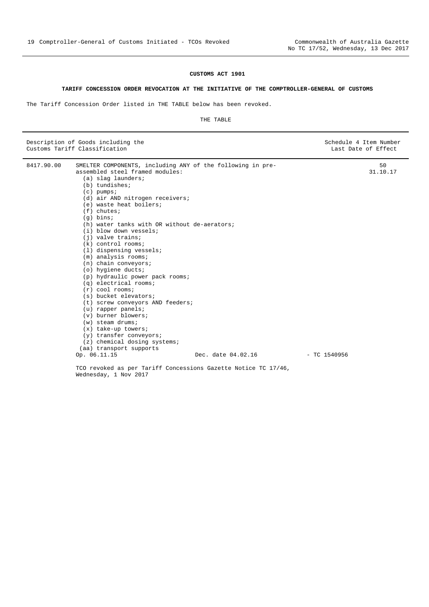#### **TARIFF CONCESSION ORDER REVOCATION AT THE INITIATIVE OF THE COMPTROLLER-GENERAL OF CUSTOMS**

The Tariff Concession Order listed in THE TABLE below has been revoked.

#### THE TABLE

| Description of Goods including the<br>Customs Tariff Classification                                                                                                                                                                                                                                                                                                                                                                                                                                                                                                                                                                                                                                                                                                                                                                                      |                    | Schedule 4 Item Number<br>Last Date of Effect |
|----------------------------------------------------------------------------------------------------------------------------------------------------------------------------------------------------------------------------------------------------------------------------------------------------------------------------------------------------------------------------------------------------------------------------------------------------------------------------------------------------------------------------------------------------------------------------------------------------------------------------------------------------------------------------------------------------------------------------------------------------------------------------------------------------------------------------------------------------------|--------------------|-----------------------------------------------|
| 8417.90.00<br>SMELTER COMPONENTS, including ANY of the following in pre-<br>assembled steel framed modules:<br>(a) slag launders;<br>$(b)$ tundishes;<br>$(c)$ pumps;<br>(d) air AND nitrogen receivers;<br>(e) waste heat boilers;<br>$(f)$ chutes;<br>$(g)$ bins;<br>(h) water tanks with OR without de-aerators;<br>(i) blow down vessels;<br>$(i)$ valve trains;<br>$(k)$ control rooms;<br>(1) dispensing vessels;<br>$(m)$ analysis rooms;<br>$(n)$ chain conveyors;<br>(o) hygiene ducts;<br>(p) hydraulic power pack rooms;<br>$(a)$ electrical rooms;<br>$(r)$ cool rooms;<br>(s) bucket elevators;<br>(t) screw conveyors AND feeders;<br>$(u)$ rapper panels;<br>$(v)$ burner blowers;<br>$(w)$ steam drums;<br>$(x)$ take-up towers;<br>(y) transfer conveyors;<br>$(z)$ chemical dosing systems;<br>(aa) transport supports<br>Op. 06.11.15 | Dec. date 04.02.16 | 50<br>31.10.17<br>$-$ TC 1540956              |
| TCO revoked as per Tariff Concessions Cazette Notice TC 17/46                                                                                                                                                                                                                                                                                                                                                                                                                                                                                                                                                                                                                                                                                                                                                                                            |                    |                                               |

Concessions Gazette Notice TC 17/46, Wednesday, 1 Nov 2017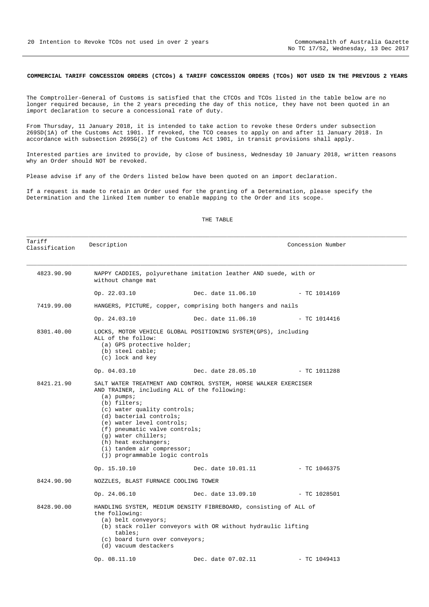#### **COMMERCIAL TARIFF CONCESSION ORDERS (CTCOs) & TARIFF CONCESSION ORDERS (TCOs) NOT USED IN THE PREVIOUS 2 YEARS**

The Comptroller-General of Customs is satisfied that the CTCOs and TCOs listed in the table below are no longer required because, in the 2 years preceding the day of this notice, they have not been quoted in an import declaration to secure a concessional rate of duty.

From Thursday, 11 January 2018, it is intended to take action to revoke these Orders under subsection 269SD(1A) of the Customs Act 1901. If revoked, the TCO ceases to apply on and after 11 January 2018. In accordance with subsection 269SG(2) of the Customs Act 1901, in transit provisions shall apply.

Interested parties are invited to provide, by close of business, Wednesday 10 January 2018, written reasons why an Order should NOT be revoked.

Please advise if any of the Orders listed below have been quoted on an import declaration.

If a request is made to retain an Order used for the granting of a Determination, please specify the Determination and the linked Item number to enable mapping to the Order and its scope.

#### THE TABLE

| Tariff<br>Classification | Description                                                                                                                                                                                                                                                                                                                                                                                 |                                 | Concession Number |  |
|--------------------------|---------------------------------------------------------------------------------------------------------------------------------------------------------------------------------------------------------------------------------------------------------------------------------------------------------------------------------------------------------------------------------------------|---------------------------------|-------------------|--|
| 4823.90.90               | NAPPY CADDIES, polyurethane imitation leather AND suede, with or<br>without change mat                                                                                                                                                                                                                                                                                                      |                                 |                   |  |
|                          | Op. 22.03.10                                                                                                                                                                                                                                                                                                                                                                                | Dec. date 11.06.10              | $-$ TC 1014169    |  |
| 7419.99.00               | HANGERS, PICTURE, copper, comprising both hangers and nails                                                                                                                                                                                                                                                                                                                                 |                                 |                   |  |
|                          | Op. 24.03.10                                                                                                                                                                                                                                                                                                                                                                                | Dec. date 11.06.10              | $-$ TC 1014416    |  |
| 8301.40.00               | LOCKS, MOTOR VEHICLE GLOBAL POSITIONING SYSTEM(GPS), including<br>ALL of the follow:<br>(a) GPS protective holder;<br>(b) steel cable;<br>(c) lock and key                                                                                                                                                                                                                                  |                                 |                   |  |
|                          | Op. 04.03.10                                                                                                                                                                                                                                                                                                                                                                                | Dec. date 28.05.10 - TC 1011288 |                   |  |
| 8421.21.90               | SALT WATER TREATMENT AND CONTROL SYSTEM, HORSE WALKER EXERCISER<br>AND TRAINER, including ALL of the following:<br>$(a)$ pumps;<br>(b) filters;<br>$(c)$ water quality controls;<br>(d) bacterial controls;<br>(e) water level controls;<br>(f) pneumatic valve controls;<br>(g) water chillers;<br>(h) heat exchangers;<br>$(i)$ tandem air compressor;<br>(j) programmable logic controls |                                 |                   |  |
|                          | Op. 15.10.10                                                                                                                                                                                                                                                                                                                                                                                | Dec. date 10.01.11              | $-$ TC 1046375    |  |
| 8424.90.90               | NOZZLES, BLAST FURNACE COOLING TOWER                                                                                                                                                                                                                                                                                                                                                        |                                 |                   |  |
|                          | Op. 24.06.10                                                                                                                                                                                                                                                                                                                                                                                | Dec. date 13.09.10              | $-$ TC 1028501    |  |
| 8428.90.00               | HANDLING SYSTEM, MEDIUM DENSITY FIBREBOARD, consisting of ALL of<br>the following:<br>(a) belt conveyors;<br>(b) stack roller conveyors with OR without hydraulic lifting<br>tables;<br>(c) board turn over conveyors;<br>(d) vacuum destackers                                                                                                                                             |                                 |                   |  |
|                          | Op. 08.11.10                                                                                                                                                                                                                                                                                                                                                                                | Dec. date 07.02.11              | $-$ TC 1049413    |  |